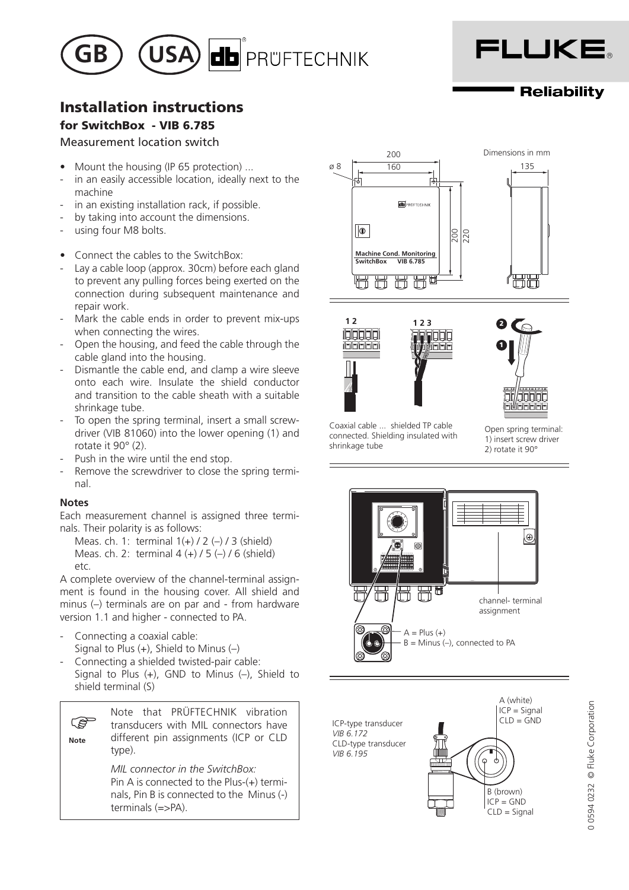



**Reliability** 

# Installation instructions

# for SwitchBox - VIB 6.785

Measurement location switch

- Mount the housing (IP 65 protection) ...
- in an easily accessible location, ideally next to the machine
- in an existing installation rack, if possible.
- by taking into account the dimensions.
- using four M8 bolts.
- Connect the cables to the SwitchBox:
- Lay a cable loop (approx. 30cm) before each gland to prevent any pulling forces being exerted on the connection during subsequent maintenance and repair work.
- Mark the cable ends in order to prevent mix-ups when connecting the wires.
- Open the housing, and feed the cable through the cable gland into the housing.
- Dismantle the cable end, and clamp a wire sleeve onto each wire. Insulate the shield conductor and transition to the cable sheath with a suitable shrinkage tube.
- To open the spring terminal, insert a small screwdriver (VIB 81060) into the lower opening (1) and rotate it 90° (2).
- Push in the wire until the end stop.
- Remove the screwdriver to close the spring terminal.

### **Notes**

Each measurement channel is assigned three terminals. Their polarity is as follows:

Meas. ch. 1: terminal  $1(+)$  / 2 (-) / 3 (shield) Meas. ch. 2: terminal  $4 (+)/5 (-)/6$  (shield) etc.

A complete overview of the channel-terminal assignment is found in the housing cover. All shield and minus (–) terminals are on par and - from hardware version 1.1 and higher - connected to PA.

- Connecting a coaxial cable: Signal to Plus  $(+)$ , Shield to Minus  $(-)$
- Connecting a shielded twisted-pair cable: Signal to Plus  $(+)$ , GND to Minus  $(-)$ , Shield to shield terminal (S)

Note that PRÜFTECHNIK vibration transducers with MIL connectors have different pin assignments (ICP or CLD type). *MIL connector in the SwitchBox:* Pin A is connected to the Plus-(+) terminals, Pin B is connected to the Minus (-) terminals (=>PA). **Note** ි







Coaxial cable ... shielded TP cable connected. Shielding insulated with shrinkage tube

Open spring terminal: 1) insert screw driver 2) rotate it 90°



123456789 10 11 12 13 14 15 16 17 18 *VIB 6.172* ICP-type transducer CLD-type transducer *VIB 6.195*